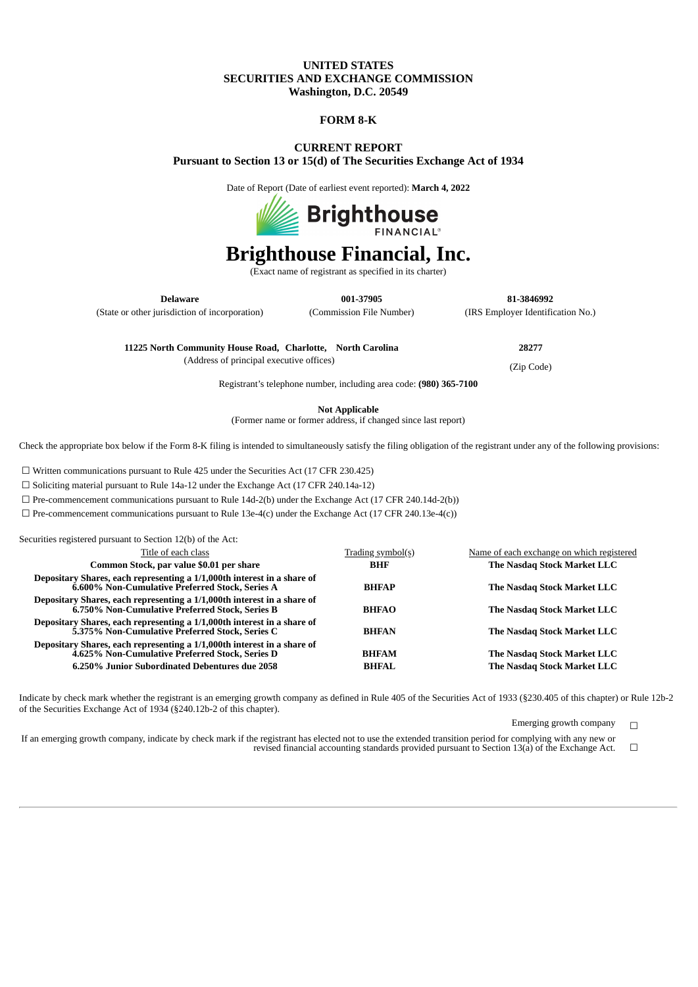### **UNITED STATES SECURITIES AND EXCHANGE COMMISSION Washington, D.C. 20549**

#### **FORM 8-K**

## **CURRENT REPORT Pursuant to Section 13 or 15(d) of The Securities Exchange Act of 1934**

Date of Report (Date of earliest event reported): **March 4, 2022**



# **Brighthouse Financial, Inc.**

(Exact name of registrant as specified in its charter)

(State or other jurisdiction of incorporation) (Commission File Number) (IRS Employer Identification No.)

**Delaware 001-37905 81-3846992**

**11225 North Community House Road, Charlotte, North Carolina 28277**

(Address of principal executive offices) (Zip Code)

Registrant's telephone number, including area code: **(980) 365-7100**

**Not Applicable**

(Former name or former address, if changed since last report)

Check the appropriate box below if the Form 8-K filing is intended to simultaneously satisfy the filing obligation of the registrant under any of the following provisions:

☐ Written communications pursuant to Rule 425 under the Securities Act (17 CFR 230.425)

Securities registered pursuant to Section 12(b) of the Act:

☐ Soliciting material pursuant to Rule 14a-12 under the Exchange Act (17 CFR 240.14a-12)

☐ Pre-commencement communications pursuant to Rule 14d-2(b) under the Exchange Act (17 CFR 240.14d-2(b))

 $\Box$  Pre-commencement communications pursuant to Rule 13e-4(c) under the Exchange Act (17 CFR 240.13e-4(c))

| Securities registered pursuant to Secuon 12(b) of the Act.                                                                 |                   |                                           |
|----------------------------------------------------------------------------------------------------------------------------|-------------------|-------------------------------------------|
| Title of each class                                                                                                        | Trading symbol(s) | Name of each exchange on which registered |
| Common Stock, par value \$0.01 per share                                                                                   | <b>BHF</b>        | The Nasdag Stock Market LLC               |
| Depositary Shares, each representing a 1/1,000th interest in a share of<br>6.600% Non-Cumulative Preferred Stock, Series A | <b>BHFAP</b>      | The Nasdag Stock Market LLC               |
| Depositary Shares, each representing a 1/1,000th interest in a share of<br>6.750% Non-Cumulative Preferred Stock, Series B | <b>BHFAO</b>      | The Nasdag Stock Market LLC               |
| Depositary Shares, each representing a 1/1,000th interest in a share of<br>5.375% Non-Cumulative Preferred Stock, Series C | <b>BHFAN</b>      | The Nasdag Stock Market LLC               |
| Depositary Shares, each representing a 1/1,000th interest in a share of<br>4.625% Non-Cumulative Preferred Stock, Series D | <b>BHFAM</b>      | The Nasdag Stock Market LLC               |
| 6.250% Junior Subordinated Debentures due 2058                                                                             | <b>BHFAL</b>      | The Nasdag Stock Market LLC               |

Indicate by check mark whether the registrant is an emerging growth company as defined in Rule 405 of the Securities Act of 1933 (§230.405 of this chapter) or Rule 12b-2 of the Securities Exchange Act of 1934 (§240.12b-2 of this chapter).

Emerging growth company  $\Box$ 

If an emerging growth company, indicate by check mark if the registrant has elected not to use the extended transition period for complying with any new or revised financial accounting standards provided pursuant to Section 13(a) of the Exchange Act. ☐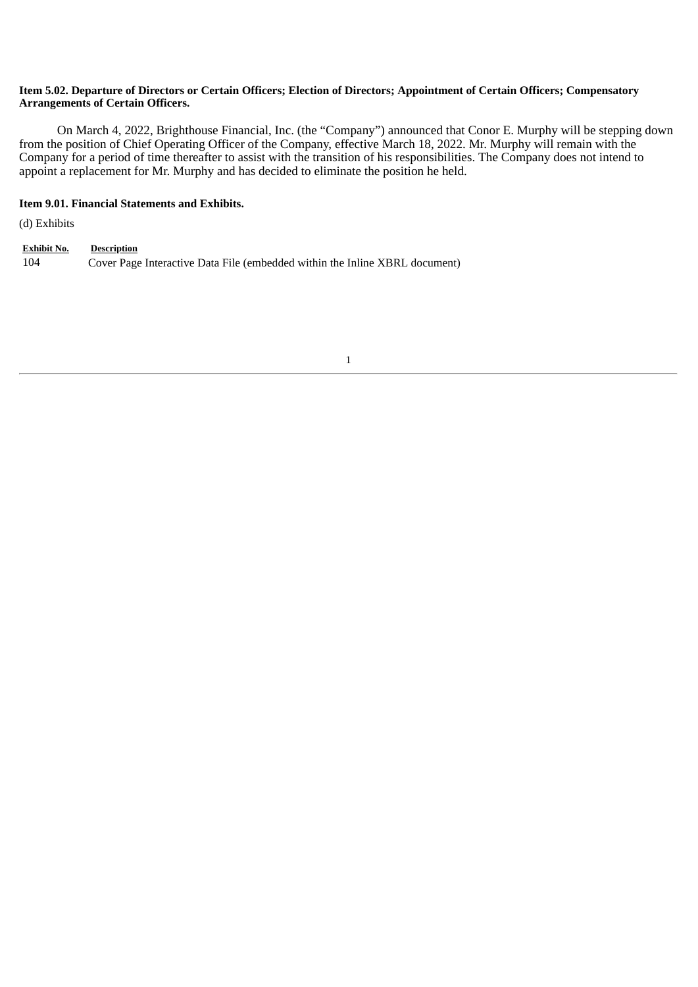## Item 5.02. Departure of Directors or Certain Officers; Election of Directors; Appointment of Certain Officers; Compensatory **Arrangements of Certain Officers.**

On March 4, 2022, Brighthouse Financial, Inc. (the "Company") announced that Conor E. Murphy will be stepping down from the position of Chief Operating Officer of the Company, effective March 18, 2022. Mr. Murphy will remain with the Company for a period of time thereafter to assist with the transition of his responsibilities. The Company does not intend to appoint a replacement for Mr. Murphy and has decided to eliminate the position he held.

## **Item 9.01. Financial Statements and Exhibits.**

(d) Exhibits

**Exhibit No. Description** 104 Cover Page Interactive Data File (embedded within the Inline XBRL document)